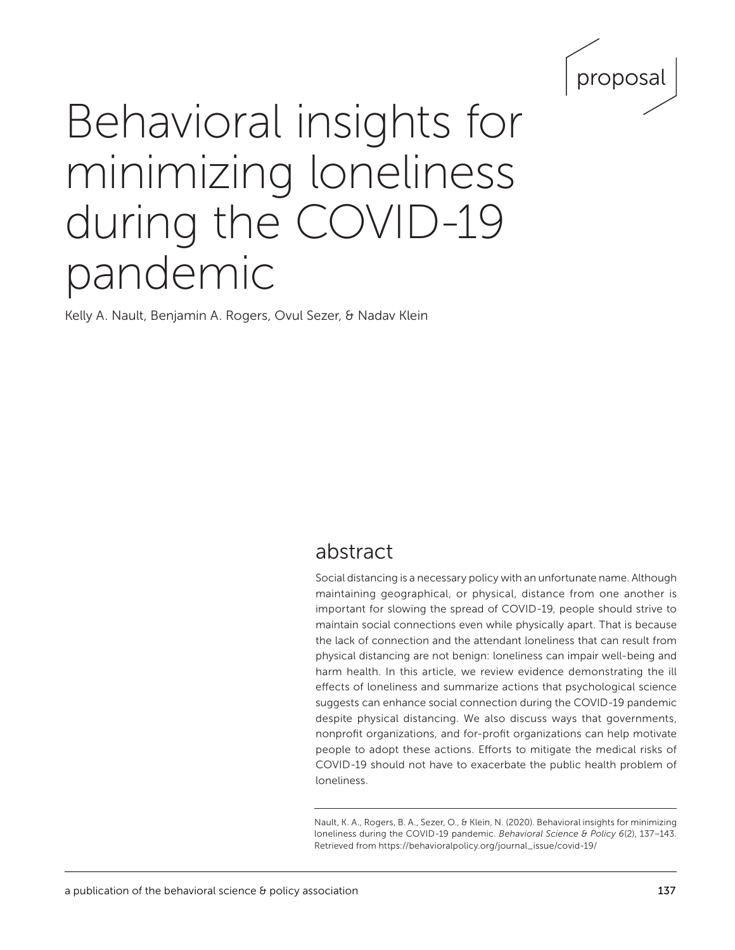

# Behavioral insights for minimizing loneliness during the COVID-19 pandemic

Kelly A. Nault, Benjamin A. Rogers, Ovul Sezer, & Nadav Klein

# abstract

Social distancing is a necessary policy with an unfortunate name. Although maintaining geographical, or physical, distance from one another is important for slowing the spread of COVID-19, people should strive to maintain social connections even while physically apart. That is because the lack of connection and the attendant loneliness that can result from physical distancing are not benign: loneliness can impair well-being and harm health. In this article, we review evidence demonstrating the ill effects of loneliness and summarize actions that psychological science suggests can enhance social connection during the COVID-19 pandemic despite physical distancing. We also discuss ways that governments, nonprofit organizations, and for-profit organizations can help motivate people to adopt these actions. Efforts to mitigate the medical risks of COVID-19 should not have to exacerbate the public health problem of loneliness.

Nault, K. A., Rogers, B. A., Sezer, O., & Klein, N. (2020). Behavioral insights for minimizing loneliness during the COVID-19 pandemic. *Behavioral Science & Policy 6*(2), 137–143*.*  Retrieved from [https://behavioralpolicy.org/journal\\_issue/covid-19/](https://behavioralpolicy.org/journal_issue/covid-19/)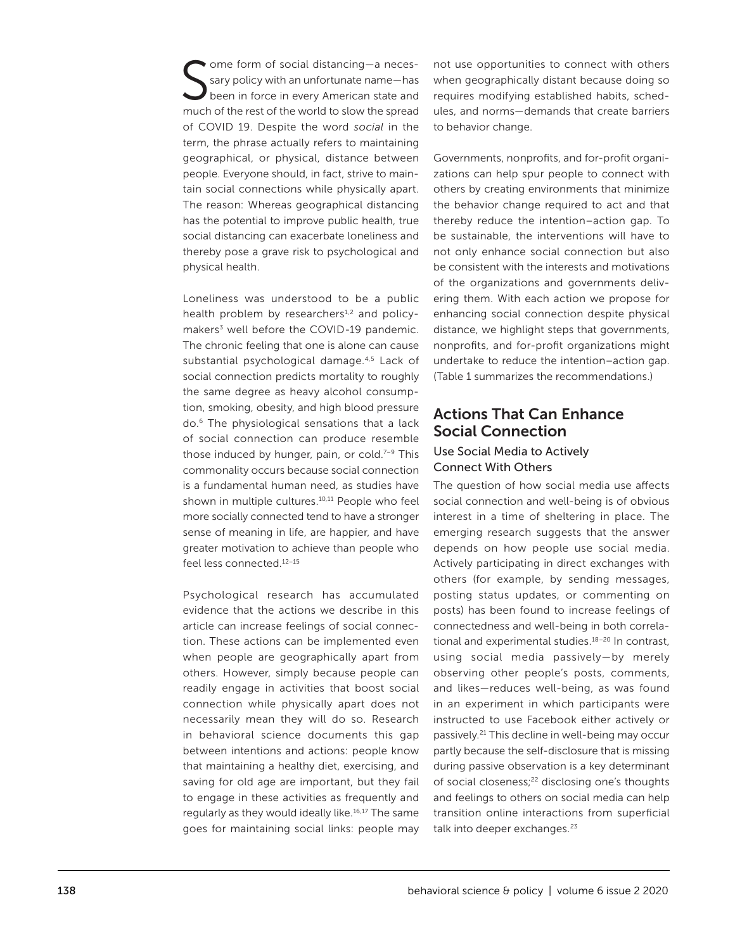S ome form of social distancing—a necessary policy with an unfortunate name—has been in force in every American state and much of the rest of the world to slow the spread of COVID 19. Despite the word *social* in the term, the phrase actually refers to maintaining geographical, or physical, distance between people. Everyone should, in fact, strive to maintain social connections while physically apart. The reason: Whereas geographical distancing has the potential to improve public health, true social distancing can exacerbate loneliness and thereby pose a grave risk to psychological and physical health.

Loneliness was understood to be a public health problem by researchers<sup>1,2</sup> and policymakers<sup>3</sup> well before the COVID-19 pandemic. The chronic feeling that one is alone can cause substantial psychological damage.4,5 Lack of social connection predicts mortality to roughly the same degree as heavy alcohol consumption, smoking, obesity, and high blood pressure do.6 The physiological sensations that a lack of social connection can produce resemble those induced by hunger, pain, or cold. $7-9$  This commonality occurs because social connection is a fundamental human need, as studies have shown in multiple cultures.<sup>10,11</sup> People who feel more socially connected tend to have a stronger sense of meaning in life, are happier, and have greater motivation to achieve than people who feel less connected.12–15

Psychological research has accumulated evidence that the actions we describe in this article can increase feelings of social connection. These actions can be implemented even when people are geographically apart from others. However, simply because people can readily engage in activities that boost social connection while physically apart does not necessarily mean they will do so. Research in behavioral science documents this gap between intentions and actions: people know that maintaining a healthy diet, exercising, and saving for old age are important, but they fail to engage in these activities as frequently and regularly as they would ideally like.<sup>16,17</sup> The same goes for maintaining social links: people may not use opportunities to connect with others when geographically distant because doing so requires modifying established habits, schedules, and norms—demands that create barriers to behavior change.

Governments, nonprofits, and for-profit organizations can help spur people to connect with others by creating environments that minimize the behavior change required to act and that thereby reduce the intention–action gap. To be sustainable, the interventions will have to not only enhance social connection but also be consistent with the interests and motivations of the organizations and governments delivering them. With each action we propose for enhancing social connection despite physical distance, we highlight steps that governments, nonprofits, and for-profit organizations might undertake to reduce the intention–action gap. (Table 1 summarizes the recommendations.)

### Actions That Can Enhance Social Connection

#### Use Social Media to Actively Connect With Others

The question of how social media use affects social connection and well-being is of obvious interest in a time of sheltering in place. The emerging research suggests that the answer depends on how people use social media. Actively participating in direct exchanges with others (for example, by sending messages, posting status updates, or commenting on posts) has been found to increase feelings of connectedness and well-being in both correlational and experimental studies.<sup>18-20</sup> In contrast, using social media passively—by merely observing other people's posts, comments, and likes—reduces well-being, as was found in an experiment in which participants were instructed to use Facebook either actively or passively.21 This decline in well-being may occur partly because the self-disclosure that is missing during passive observation is a key determinant of social closeness;<sup>22</sup> disclosing one's thoughts and feelings to others on social media can help transition online interactions from superficial talk into deeper exchanges.<sup>23</sup>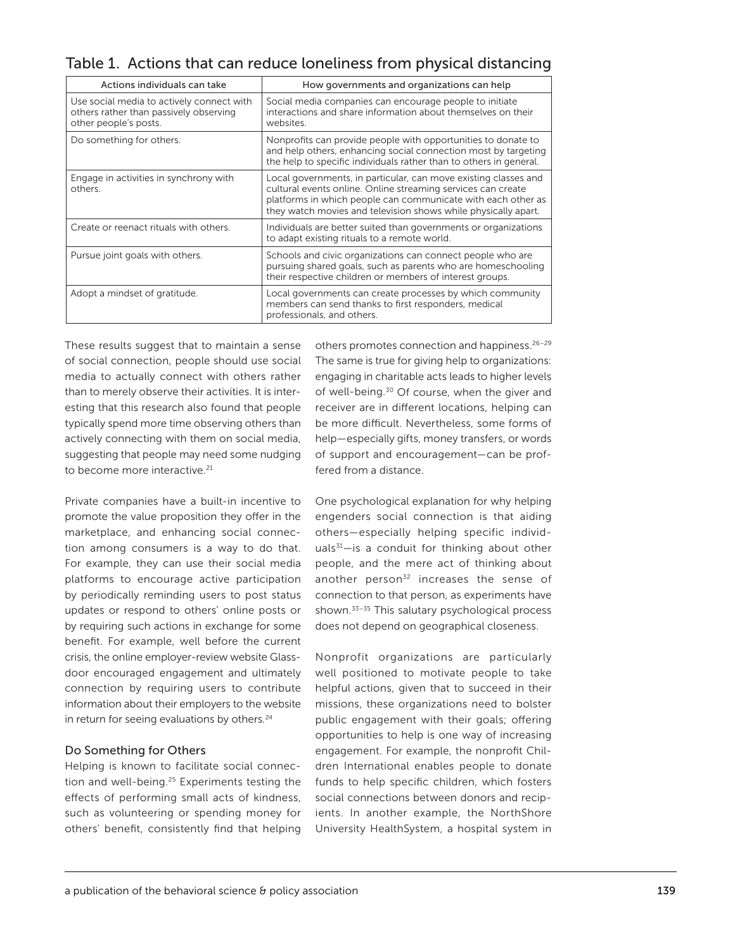Table 1. Actions that can reduce loneliness from physical distancing

| Actions individuals can take                                                                                 | How governments and organizations can help                                                                                                                                                                                                                        |
|--------------------------------------------------------------------------------------------------------------|-------------------------------------------------------------------------------------------------------------------------------------------------------------------------------------------------------------------------------------------------------------------|
| Use social media to actively connect with<br>others rather than passively observing<br>other people's posts. | Social media companies can encourage people to initiate<br>interactions and share information about themselves on their<br>websites.                                                                                                                              |
| Do something for others.                                                                                     | Nonprofits can provide people with opportunities to donate to<br>and help others, enhancing social connection most by targeting<br>the help to specific individuals rather than to others in general.                                                             |
| Engage in activities in synchrony with<br>others                                                             | Local governments, in particular, can move existing classes and<br>cultural events online. Online streaming services can create<br>platforms in which people can communicate with each other as<br>they watch movies and television shows while physically apart. |
| Create or reenact rituals with others.                                                                       | Individuals are better suited than governments or organizations<br>to adapt existing rituals to a remote world.                                                                                                                                                   |
| Pursue joint goals with others.                                                                              | Schools and civic organizations can connect people who are<br>pursuing shared goals, such as parents who are homeschooling<br>their respective children or members of interest groups.                                                                            |
| Adopt a mindset of gratitude.                                                                                | Local governments can create processes by which community<br>members can send thanks to first responders, medical<br>professionals, and others.                                                                                                                   |

These results suggest that to maintain a sense of social connection, people should use social media to actually connect with others rather than to merely observe their activities. It is interesting that this research also found that people typically spend more time observing others than actively connecting with them on social media, suggesting that people may need some nudging to become more interactive.<sup>21</sup>

Private companies have a built-in incentive to promote the value proposition they offer in the marketplace, and enhancing social connection among consumers is a way to do that. For example, they can use their social media platforms to encourage active participation by periodically reminding users to post status updates or respond to others' online posts or by requiring such actions in exchange for some benefit. For example, well before the current crisis, the online employer-review website Glassdoor encouraged engagement and ultimately connection by requiring users to contribute information about their employers to the website in return for seeing evaluations by others*.* 24

#### Do Something for Others

Helping is known to facilitate social connection and well-being.25 Experiments testing the effects of performing small acts of kindness, such as volunteering or spending money for others' benefit, consistently find that helping

others promotes connection and happiness.26–29 The same is true for giving help to organizations: engaging in charitable acts leads to higher levels of well-being.<sup>30</sup> Of course, when the giver and receiver are in different locations, helping can be more difficult. Nevertheless, some forms of help—especially gifts, money transfers, or words of support and encouragement—can be proffered from a distance.

One psychological explanation for why helping engenders social connection is that aiding others—especially helping specific individuals $31$ -is a conduit for thinking about other people, and the mere act of thinking about another person $32$  increases the sense of connection to that person, as experiments have shown.<sup>33-35</sup> This salutary psychological process does not depend on geographical closeness.

Nonprofit organizations are particularly well positioned to motivate people to take helpful actions, given that to succeed in their missions, these organizations need to bolster public engagement with their goals; offering opportunities to help is one way of increasing engagement. For example, the nonprofit Children International enables people to donate funds to help specific children, which fosters social connections between donors and recipients. In another example, the NorthShore University HealthSystem, a hospital system in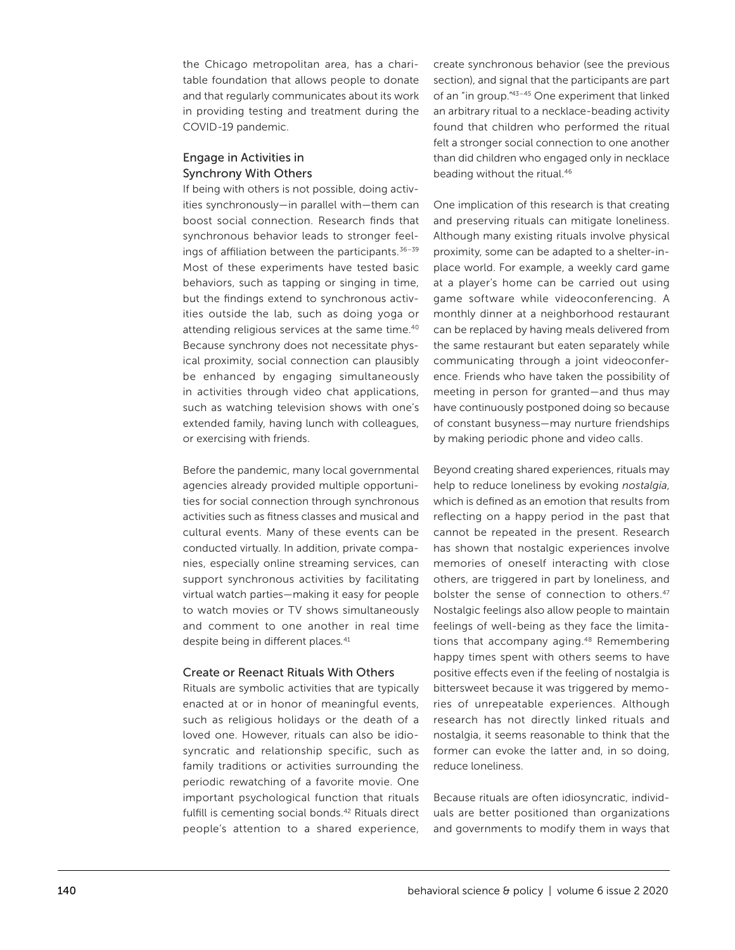the Chicago metropolitan area, has a charitable foundation that allows people to donate and that regularly communicates about its work in providing testing and treatment during the COVID-19 pandemic.

#### Engage in Activities in Synchrony With Others

If being with others is not possible, doing activities synchronously—in parallel with—them can boost social connection. Research finds that synchronous behavior leads to stronger feelings of affiliation between the participants. $36-39$ Most of these experiments have tested basic behaviors, such as tapping or singing in time, but the findings extend to synchronous activities outside the lab, such as doing yoga or attending religious services at the same time.<sup>40</sup> Because synchrony does not necessitate physical proximity, social connection can plausibly be enhanced by engaging simultaneously in activities through video chat applications, such as watching television shows with one's extended family, having lunch with colleagues, or exercising with friends.

Before the pandemic, many local governmental agencies already provided multiple opportunities for social connection through synchronous activities such as fitness classes and musical and cultural events. Many of these events can be conducted virtually. In addition, private companies, especially online streaming services, can support synchronous activities by facilitating virtual watch parties—making it easy for people to watch movies or TV shows simultaneously and comment to one another in real time despite being in different places*.* 41

#### Create or Reenact Rituals With Others

Rituals are symbolic activities that are typically enacted at or in honor of meaningful events, such as religious holidays or the death of a loved one. However, rituals can also be idiosyncratic and relationship specific, such as family traditions or activities surrounding the periodic rewatching of a favorite movie. One important psychological function that rituals fulfill is cementing social bonds.<sup>42</sup> Rituals direct people's attention to a shared experience,

create synchronous behavior (see the previous section), and signal that the participants are part of an "in group."43–45 One experiment that linked an arbitrary ritual to a necklace-beading activity found that children who performed the ritual felt a stronger social connection to one another than did children who engaged only in necklace beading without the ritual.46

One implication of this research is that creating and preserving rituals can mitigate loneliness. Although many existing rituals involve physical proximity, some can be adapted to a shelter-inplace world. For example, a weekly card game at a player's home can be carried out using game software while videoconferencing. A monthly dinner at a neighborhood restaurant can be replaced by having meals delivered from the same restaurant but eaten separately while communicating through a joint videoconference. Friends who have taken the possibility of meeting in person for granted—and thus may have continuously postponed doing so because of constant busyness—may nurture friendships by making periodic phone and video calls.

Beyond creating shared experiences, rituals may help to reduce loneliness by evoking *nostalgia*, which is defined as an emotion that results from reflecting on a happy period in the past that cannot be repeated in the present. Research has shown that nostalgic experiences involve memories of oneself interacting with close others, are triggered in part by loneliness, and bolster the sense of connection to others.<sup>47</sup> Nostalgic feelings also allow people to maintain feelings of well-being as they face the limitations that accompany aging.<sup>48</sup> Remembering happy times spent with others seems to have positive effects even if the feeling of nostalgia is bittersweet because it was triggered by memories of unrepeatable experiences. Although research has not directly linked rituals and nostalgia, it seems reasonable to think that the former can evoke the latter and, in so doing, reduce loneliness.

Because rituals are often idiosyncratic, individuals are better positioned than organizations and governments to modify them in ways that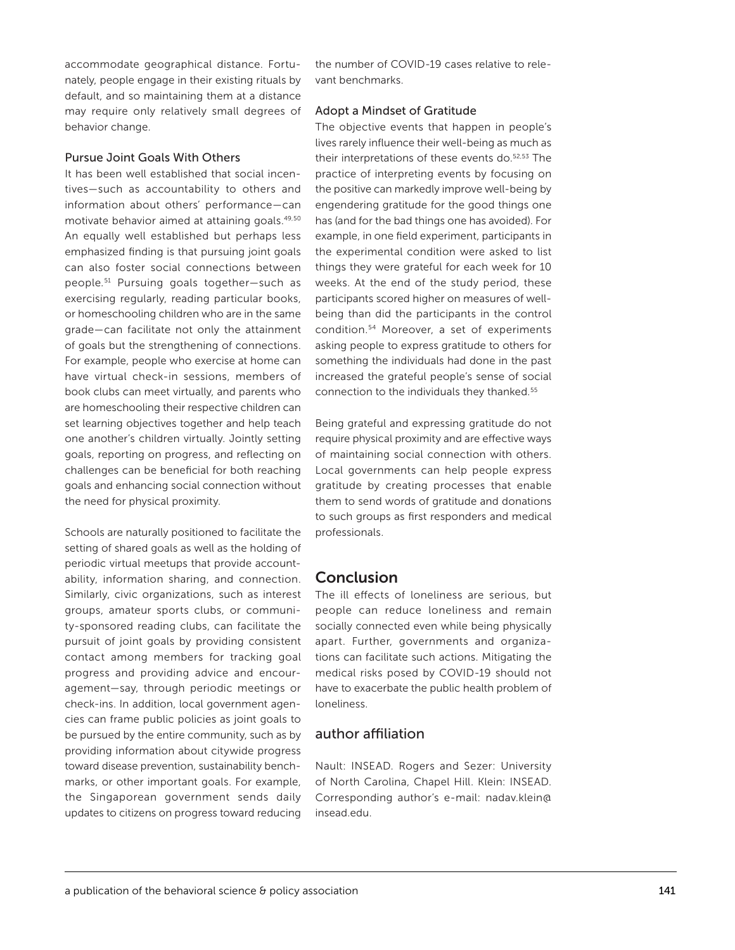accommodate geographical distance. Fortunately, people engage in their existing rituals by default, and so maintaining them at a distance may require only relatively small degrees of behavior change.

#### Pursue Joint Goals With Others

It has been well established that social incentives—such as accountability to others and information about others' performance—can motivate behavior aimed at attaining goals.49,50 An equally well established but perhaps less emphasized finding is that pursuing joint goals can also foster social connections between people*.* 51 Pursuing goals together—such as exercising regularly, reading particular books, or homeschooling children who are in the same grade—can facilitate not only the attainment of goals but the strengthening of connections. For example, people who exercise at home can have virtual check-in sessions, members of book clubs can meet virtually, and parents who are homeschooling their respective children can set learning objectives together and help teach one another's children virtually. Jointly setting goals, reporting on progress, and reflecting on challenges can be beneficial for both reaching goals and enhancing social connection without the need for physical proximity.

Schools are naturally positioned to facilitate the setting of shared goals as well as the holding of periodic virtual meetups that provide accountability, information sharing, and connection. Similarly, civic organizations, such as interest groups, amateur sports clubs, or community-sponsored reading clubs, can facilitate the pursuit of joint goals by providing consistent contact among members for tracking goal progress and providing advice and encouragement—say, through periodic meetings or check-ins. In addition, local government agencies can frame public policies as joint goals to be pursued by the entire community, such as by providing information about citywide progress toward disease prevention, sustainability benchmarks, or other important goals. For example, the Singaporean government sends daily updates to citizens on progress toward reducing

the number of COVID-19 cases relative to relevant benchmarks.

#### Adopt a Mindset of Gratitude

The objective events that happen in people's lives rarely influence their well-being as much as their interpretations of these events do.<sup>52,53</sup> The practice of interpreting events by focusing on the positive can markedly improve well-being by engendering gratitude for the good things one has (and for the bad things one has avoided). For example, in one field experiment, participants in the experimental condition were asked to list things they were grateful for each week for 10 weeks. At the end of the study period, these participants scored higher on measures of wellbeing than did the participants in the control condition.54 Moreover, a set of experiments asking people to express gratitude to others for something the individuals had done in the past increased the grateful people's sense of social connection to the individuals they thanked.55

Being grateful and expressing gratitude do not require physical proximity and are effective ways of maintaining social connection with others. Local governments can help people express gratitude by creating processes that enable them to send words of gratitude and donations to such groups as first responders and medical professionals.

#### Conclusion

The ill effects of loneliness are serious, but people can reduce loneliness and remain socially connected even while being physically apart. Further, governments and organizations can facilitate such actions. Mitigating the medical risks posed by COVID-19 should not have to exacerbate the public health problem of loneliness.

#### author affiliation

Nault: INSEAD. Rogers and Sezer: University of North Carolina, Chapel Hill. Klein: INSEAD. Corresponding author's e-mail: [nadav.klein@](mailto:nadav.klein@insead.edu) [insead.edu.](mailto:nadav.klein@insead.edu)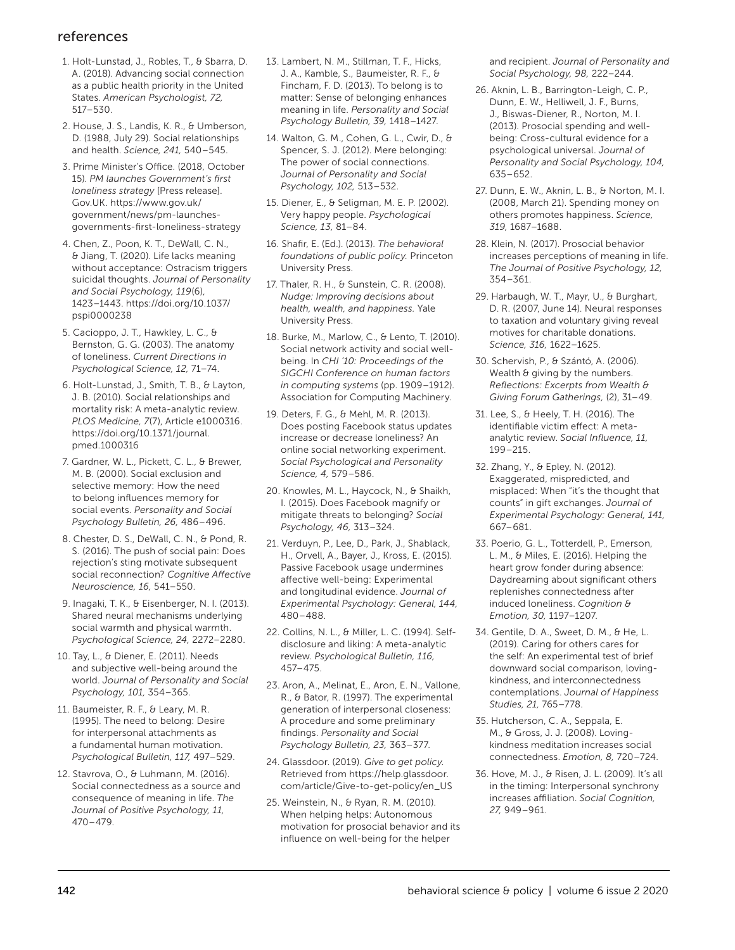## references

- 1. Holt-Lunstad, J., Robles, T., & Sbarra, D. A. (2018). Advancing social connection as a public health priority in the United States. *American Psychologist, 72,*  517–530.
- 2. House, J. S., Landis, K. R., & Umberson, D. (1988, July 29). Social relationships and health. *Science, 241,* 540–545.
- 3. Prime Minister's Office. (2018, October 15). *PM launches Government's first loneliness strategy* [Press release]. Gov.UK. [https://www.gov.uk/](https://www.gov.uk/government/news/pm-launches-governments-first-loneliness-strategy) [government/news/pm-launches](https://www.gov.uk/government/news/pm-launches-governments-first-loneliness-strategy)[governments-first-loneliness-strategy](https://www.gov.uk/government/news/pm-launches-governments-first-loneliness-strategy)
- 4. Chen, Z., Poon, K. T., DeWall, C. N., & Jiang, T. (2020). Life lacks meaning without acceptance: Ostracism triggers suicidal thoughts. *Journal of Personality and Social Psychology, 119*(6), 1423–1443. [https://doi.org/10.1037/](https://doi.org/10.1037/pspi0000238) [pspi0000238](https://doi.org/10.1037/pspi0000238)
- 5. Cacioppo, J. T., Hawkley, L. C., & Bernston, G. G. (2003). The anatomy of loneliness. *Current Directions in Psychological Science, 12,* 71–74.
- 6. Holt-Lunstad, J., Smith, T. B., & Layton, J. B. (2010). Social relationships and mortality risk: A meta-analytic review. *PLOS Medicine, 7*(7), Article e1000316. [https://doi.org/10.1371/journal.](https://doi.org/10.1371/journal.pmed.1000316) [pmed.1000316](https://doi.org/10.1371/journal.pmed.1000316)
- 7. Gardner, W. L., Pickett, C. L., & Brewer, M. B. (2000). Social exclusion and selective memory: How the need to belong influences memory for social events. *Personality and Social Psychology Bulletin, 26,* 486–496.
- 8. Chester, D. S., DeWall, C. N., & Pond, R. S. (2016). The push of social pain: Does rejection's sting motivate subsequent social reconnection? *Cognitive Affective Neuroscience, 16,* 541–550.
- 9. Inagaki, T. K., & Eisenberger, N. I. (2013). Shared neural mechanisms underlying social warmth and physical warmth. *Psychological Science, 24,* 2272–2280.
- 10. Tay, L., & Diener, E. (2011). Needs and subjective well-being around the world. *Journal of Personality and Social Psychology, 101,* 354–365.
- 11. Baumeister, R. F., & Leary, M. R. (1995). The need to belong: Desire for interpersonal attachments as a fundamental human motivation. *Psychological Bulletin, 117,* 497–529.
- 12. Stavrova, O., & Luhmann, M. (2016). Social connectedness as a source and consequence of meaning in life. *The Journal of Positive Psychology, 11,* 470–479.
- 13. Lambert, N. M., Stillman, T. F., Hicks, J. A., Kamble, S., Baumeister, R. F., & Fincham, F. D. (2013). To belong is to matter: Sense of belonging enhances meaning in life. *Personality and Social Psychology Bulletin, 39,* 1418–1427.
- 14. Walton, G. M., Cohen, G. L., Cwir, D., & Spencer, S. J. (2012). Mere belonging: The power of social connections. *Journal of Personality and Social Psychology, 102,* 513–532.
- 15. Diener, E., & Seligman, M. E. P. (2002). Very happy people. *Psychological Science, 13,* 81–84.
- 16. Shafir, E. (Ed.). (2013). *The behavioral foundations of public policy.* Princeton University Press.
- 17. Thaler, R. H., & Sunstein, C. R. (2008). *Nudge: Improving decisions about health, wealth, and happiness.* Yale University Press.
- 18. Burke, M., Marlow, C., & Lento, T. (2010). Social network activity and social wellbeing. In *CHI '10: Proceedings of the SIGCHI Conference on human factors in computing systems* (pp. 1909–1912). Association for Computing Machinery.
- 19. Deters, F. G., & Mehl, M. R. (2013). Does posting Facebook status updates increase or decrease loneliness? An online social networking experiment. *Social Psychological and Personality Science, 4,* 579–586.
- 20. Knowles, M. L., Haycock, N., & Shaikh, I. (2015). Does Facebook magnify or mitigate threats to belonging? *Social Psychology, 46,* 313–324.
- 21. Verduyn, P., Lee, D., Park, J., Shablack, H., Orvell, A., Bayer, J., Kross, E. (2015). Passive Facebook usage undermines affective well-being: Experimental and longitudinal evidence. *Journal of Experimental Psychology: General, 144,* 480–488.
- 22. Collins, N. L., & Miller, L. C. (1994). Selfdisclosure and liking: A meta-analytic review. *Psychological Bulletin, 116,* 457–475.
- 23. Aron, A., Melinat, E., Aron, E. N., Vallone, R., & Bator, R. (1997). The experimental generation of interpersonal closeness: A procedure and some preliminary findings. *Personality and Social Psychology Bulletin, 23,* 363–377.
- 24. Glassdoor. (2019). *Give to get policy.*  Retrieved from [https://help.glassdoor.](https://help.glassdoor.com/article/Give-to-get-policy/en_US) [com/article/Give-to-get-policy/en\\_US](https://help.glassdoor.com/article/Give-to-get-policy/en_US)
- 25. Weinstein, N., & Ryan, R. M. (2010). When helping helps: Autonomous motivation for prosocial behavior and its influence on well-being for the helper

and recipient. *Journal of Personality and Social Psychology, 98,* 222–244.

- 26. Aknin, L. B., Barrington-Leigh, C. P., Dunn, E. W., Helliwell, J. F., Burns, J., Biswas-Diener, R., Norton, M. I. (2013). Prosocial spending and wellbeing: Cross-cultural evidence for a psychological universal. *Journal of Personality and Social Psychology, 104,* 635–652.
- 27. Dunn, E. W., Aknin, L. B., & Norton, M. I. (2008, March 21). Spending money on others promotes happiness. *Science, 319,* 1687–1688.
- 28. Klein, N. (2017). Prosocial behavior increases perceptions of meaning in life. *The Journal of Positive Psychology, 12,* 354–361.
- 29. Harbaugh, W. T., Mayr, U., & Burghart, D. R. (2007, June 14). Neural responses to taxation and voluntary giving reveal motives for charitable donations. *Science, 316,* 1622–1625.
- 30. Schervish, P., & Szántó, A. (2006). Wealth & giving by the numbers. *Reflections: Excerpts from Wealth & Giving Forum Gatherings,* (2), 31–49.
- 31. Lee, S., & Heely, T. H. (2016). The identifiable victim effect: A metaanalytic review. *Social Influence, 11,*  199–215.
- 32. Zhang, Y., & Epley, N. (2012). Exaggerated, mispredicted, and misplaced: When "it's the thought that counts" in gift exchanges. *Journal of Experimental Psychology: General, 141,*  667–681.
- 33. Poerio, G. L., Totterdell, P., Emerson, L. M., & Miles, E. (2016). Helping the heart grow fonder during absence: Daydreaming about significant others replenishes connectedness after induced loneliness. *Cognition & Emotion, 30,* 1197–1207.
- 34. Gentile, D. A., Sweet, D. M., & He, L. (2019). Caring for others cares for the self: An experimental test of brief downward social comparison, lovingkindness, and interconnectedness contemplations. *Journal of Happiness Studies, 21,* 765–778.
- 35. Hutcherson, C. A., Seppala, E. M., & Gross, J. J. (2008). Lovingkindness meditation increases social connectedness. *Emotion, 8,* 720–724.
- 36. Hove, M. J., & Risen, J. L. (2009). It's all in the timing: Interpersonal synchrony increases affiliation. *Social Cognition, 27,* 949–961.